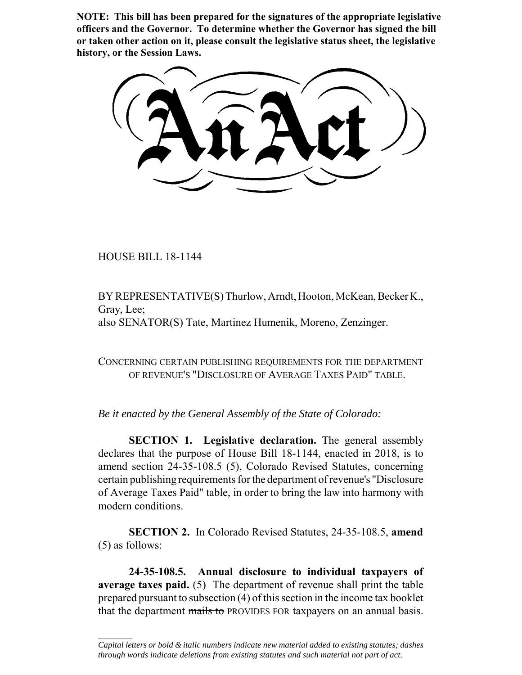**NOTE: This bill has been prepared for the signatures of the appropriate legislative officers and the Governor. To determine whether the Governor has signed the bill or taken other action on it, please consult the legislative status sheet, the legislative history, or the Session Laws.**

HOUSE BILL 18-1144

 $\frac{1}{2}$ 

BY REPRESENTATIVE(S) Thurlow, Arndt, Hooton, McKean, Becker K., Gray, Lee; also SENATOR(S) Tate, Martinez Humenik, Moreno, Zenzinger.

CONCERNING CERTAIN PUBLISHING REQUIREMENTS FOR THE DEPARTMENT OF REVENUE'S "DISCLOSURE OF AVERAGE TAXES PAID" TABLE.

*Be it enacted by the General Assembly of the State of Colorado:*

**SECTION 1. Legislative declaration.** The general assembly declares that the purpose of House Bill 18-1144, enacted in 2018, is to amend section 24-35-108.5 (5), Colorado Revised Statutes, concerning certain publishing requirements for the department of revenue's "Disclosure of Average Taxes Paid" table, in order to bring the law into harmony with modern conditions.

**SECTION 2.** In Colorado Revised Statutes, 24-35-108.5, **amend** (5) as follows:

**24-35-108.5. Annual disclosure to individual taxpayers of average taxes paid.** (5) The department of revenue shall print the table prepared pursuant to subsection (4) of this section in the income tax booklet that the department mails to PROVIDES FOR taxpayers on an annual basis.

*Capital letters or bold & italic numbers indicate new material added to existing statutes; dashes through words indicate deletions from existing statutes and such material not part of act.*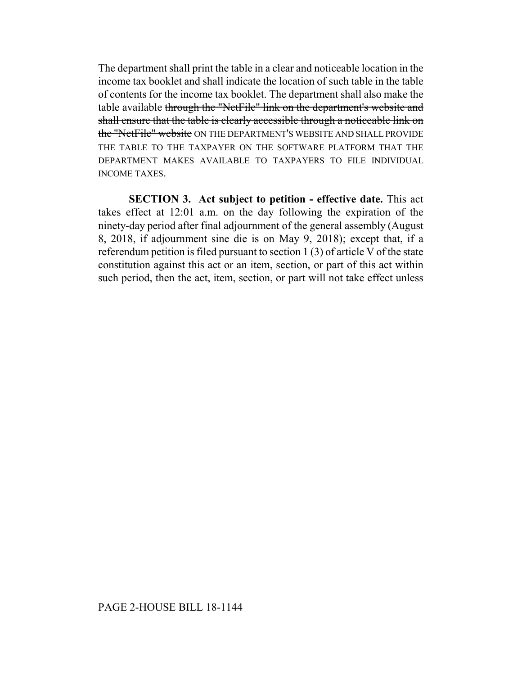The department shall print the table in a clear and noticeable location in the income tax booklet and shall indicate the location of such table in the table of contents for the income tax booklet. The department shall also make the table available through the "NetFile" link on the department's website and shall ensure that the table is clearly accessible through a noticeable link on the "NetFile" website ON THE DEPARTMENT'S WEBSITE AND SHALL PROVIDE THE TABLE TO THE TAXPAYER ON THE SOFTWARE PLATFORM THAT THE DEPARTMENT MAKES AVAILABLE TO TAXPAYERS TO FILE INDIVIDUAL INCOME TAXES.

**SECTION 3. Act subject to petition - effective date.** This act takes effect at 12:01 a.m. on the day following the expiration of the ninety-day period after final adjournment of the general assembly (August 8, 2018, if adjournment sine die is on May 9, 2018); except that, if a referendum petition is filed pursuant to section 1 (3) of article V of the state constitution against this act or an item, section, or part of this act within such period, then the act, item, section, or part will not take effect unless